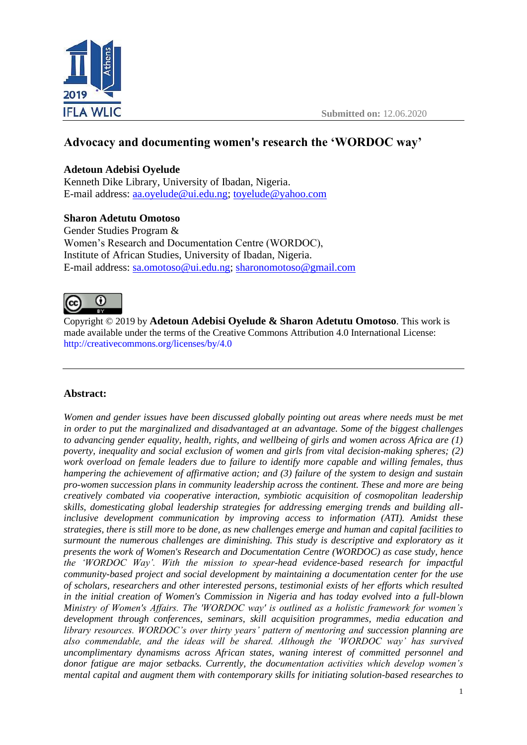

# **Advocacy and documenting women's research the 'WORDOC way'**

### **Adetoun Adebisi Oyelude**

Kenneth Dike Library, University of Ibadan, Nigeria. E-mail address: [aa.oyelude@ui.edu.ng;](mailto:aa.oyelude@ui.edu.ng) [toyelude@yahoo.com](mailto:toyelude@yahoo.com)

### **Sharon Adetutu Omotoso**

Gender Studies Program & Women's Research and Documentation Centre (WORDOC), Institute of African Studies, University of Ibadan, Nigeria. E-mail address: [sa.omotoso@ui.edu.ng;](mailto:sa.omotoso@ui.edu.ng) [sharonomotoso@gmail.com](mailto:sharonomotoso@gmail.com)



Copyright © 2019 by **Adetoun Adebisi Oyelude & Sharon Adetutu Omotoso**. This work is made available under the terms of the Creative Commons Attribution 4.0 International License: <http://creativecommons.org/licenses/by/4.0>

# **Abstract:**

*Women and gender issues have been discussed globally pointing out areas where needs must be met in order to put the marginalized and disadvantaged at an advantage. Some of the biggest challenges to advancing gender equality, health, rights, and wellbeing of girls and women across Africa are (1) poverty, inequality and social exclusion of women and girls from vital decision-making spheres; (2) work overload on female leaders due to failure to identify more capable and willing females, thus hampering the achievement of affirmative action; and (3) failure of the system to design and sustain pro-women succession plans in community leadership across the continent. These and more are being creatively combated via cooperative interaction, symbiotic acquisition of cosmopolitan leadership skills, domesticating global leadership strategies for addressing emerging trends and building allinclusive development communication by improving access to information (ATI). Amidst these strategies, there is still more to be done, as new challenges emerge and human and capital facilities to surmount the numerous challenges are diminishing. This study is descriptive and exploratory as it presents the work of Women's Research and Documentation Centre (WORDOC) as case study, hence the 'WORDOC Way'. With the mission to spear-head evidence-based research for impactful community-based project and social development by maintaining a documentation center for the use of scholars, researchers and other interested persons, testimonial exists of her efforts which resulted in the initial creation of Women's Commission in Nigeria and has today evolved into a full-blown Ministry of Women's Affairs. The 'WORDOC way' is outlined as a holistic framework for women's development through conferences, seminars, skill acquisition programmes, media education and library resources. WORDOC's over thirty years' pattern of mentoring and succession planning are also commendable, and the ideas will be shared. Although the 'WORDOC way' has survived uncomplimentary dynamisms across African states, waning interest of committed personnel and donor fatigue are major setbacks. Currently, the documentation activities which develop women's mental capital and augment them with contemporary skills for initiating solution-based researches to*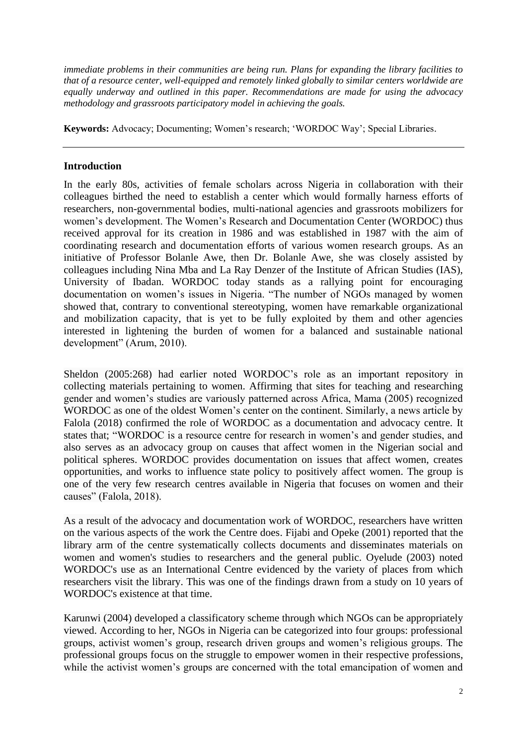*immediate problems in their communities are being run. Plans for expanding the library facilities to that of a resource center, well-equipped and remotely linked globally to similar centers worldwide are equally underway and outlined in this paper. Recommendations are made for using the advocacy methodology and grassroots participatory model in achieving the goals.*

**Keywords:** Advocacy; Documenting; Women's research; 'WORDOC Way'; Special Libraries.

### **Introduction**

In the early 80s, activities of female scholars across Nigeria in collaboration with their colleagues birthed the need to establish a center which would formally harness efforts of researchers, non-governmental bodies, multi-national agencies and grassroots mobilizers for women's development. The Women's Research and Documentation Center (WORDOC) thus received approval for its creation in 1986 and was established in 1987 with the aim of coordinating research and documentation efforts of various women research groups. As an initiative of Professor Bolanle Awe, then Dr. Bolanle Awe, she was closely assisted by colleagues including Nina Mba and La Ray Denzer of the Institute of African Studies (IAS), University of Ibadan. WORDOC today stands as a rallying point for encouraging documentation on women's issues in Nigeria. "The number of NGOs managed by women showed that, contrary to conventional stereotyping, women have remarkable organizational and mobilization capacity, that is yet to be fully exploited by them and other agencies interested in lightening the burden of women for a balanced and sustainable national development" (Arum, 2010).

Sheldon (2005:268) had earlier noted WORDOC's role as an important repository in collecting materials pertaining to women. Affirming that sites for teaching and researching gender and women's studies are variously patterned across Africa, Mama (2005) recognized WORDOC as one of the oldest Women's center on the continent. Similarly, a news article by Falola (2018) confirmed the role of WORDOC as a documentation and advocacy centre. It states that; "WORDOC is a resource centre for research in women's and gender studies, and also serves as an advocacy group on causes that affect women in the Nigerian social and political spheres. WORDOC provides documentation on issues that affect women, creates opportunities, and works to influence state policy to positively affect women. The group is one of the very few research centres available in Nigeria that focuses on women and their causes" (Falola, 2018).

As a result of the advocacy and documentation work of WORDOC, researchers have written on the various aspects of the work the Centre does. Fijabi and Opeke (2001) reported that the library arm of the centre systematically collects documents and disseminates materials on women and women's studies to researchers and the general public. Oyelude (2003) noted WORDOC's use as an International Centre evidenced by the variety of places from which researchers visit the library. This was one of the findings drawn from a study on 10 years of WORDOC's existence at that time.

Karunwi (2004) developed a classificatory scheme through which NGOs can be appropriately viewed. According to her, NGOs in Nigeria can be categorized into four groups: professional groups, activist women's group, research driven groups and women's religious groups. The professional groups focus on the struggle to empower women in their respective professions, while the activist women's groups are concerned with the total emancipation of women and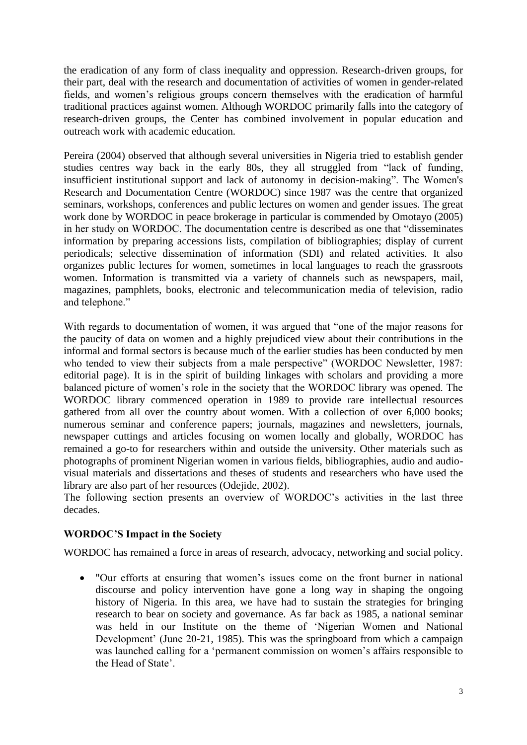the eradication of any form of class inequality and oppression. Research-driven groups, for their part, deal with the research and documentation of activities of women in gender-related fields, and women's religious groups concern themselves with the eradication of harmful traditional practices against women. Although WORDOC primarily falls into the category of research-driven groups, the Center has combined involvement in popular education and outreach work with academic education.

Pereira (2004) observed that although several universities in Nigeria tried to establish gender studies centres way back in the early 80s, they all struggled from "lack of funding, insufficient institutional support and lack of autonomy in decision-making". The Women's Research and Documentation Centre (WORDOC) since 1987 was the centre that organized seminars, workshops, conferences and public lectures on women and gender issues. The great work done by WORDOC in peace brokerage in particular is commended by Omotayo (2005) in her study on WORDOC. The documentation centre is described as one that "disseminates information by preparing accessions lists, compilation of bibliographies; display of current periodicals; selective dissemination of information (SDI) and related activities. It also organizes public lectures for women, sometimes in local languages to reach the grassroots women. Information is transmitted via a variety of channels such as newspapers, mail, magazines, pamphlets, books, electronic and telecommunication media of television, radio and telephone."

With regards to documentation of women, it was argued that "one of the major reasons for the paucity of data on women and a highly prejudiced view about their contributions in the informal and formal sectors is because much of the earlier studies has been conducted by men who tended to view their subjects from a male perspective" (WORDOC Newsletter, 1987: editorial page). It is in the spirit of building linkages with scholars and providing a more balanced picture of women's role in the society that the WORDOC library was opened. The WORDOC library commenced operation in 1989 to provide rare intellectual resources gathered from all over the country about women. With a collection of over 6,000 books; numerous seminar and conference papers; journals, magazines and newsletters, journals, newspaper cuttings and articles focusing on women locally and globally, WORDOC has remained a go-to for researchers within and outside the university. Other materials such as photographs of prominent Nigerian women in various fields, bibliographies, audio and audiovisual materials and dissertations and theses of students and researchers who have used the library are also part of her resources (Odejide, 2002).

The following section presents an overview of WORDOC's activities in the last three decades.

# **WORDOC'S Impact in the Society**

WORDOC has remained a force in areas of research, advocacy, networking and social policy.

• "Our efforts at ensuring that women's issues come on the front burner in national discourse and policy intervention have gone a long way in shaping the ongoing history of Nigeria. In this area, we have had to sustain the strategies for bringing research to bear on society and governance. As far back as 1985, a national seminar was held in our Institute on the theme of 'Nigerian Women and National Development' (June 20-21, 1985). This was the springboard from which a campaign was launched calling for a 'permanent commission on women's affairs responsible to the Head of State'.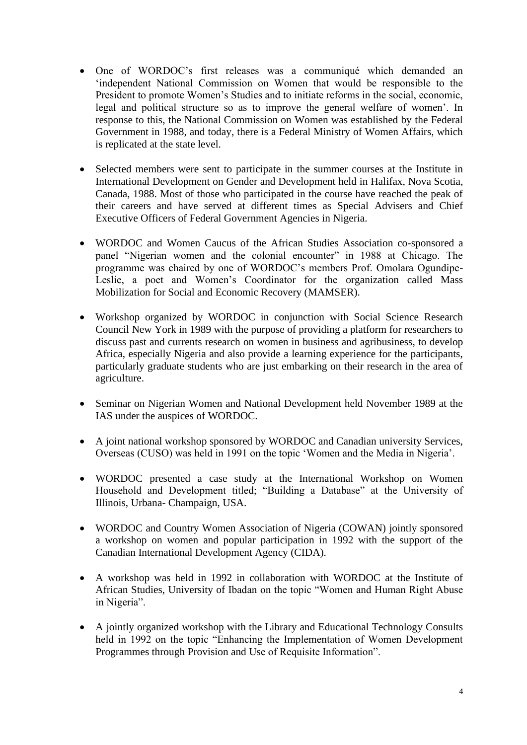- One of WORDOC's first releases was a communiqué which demanded an 'independent National Commission on Women that would be responsible to the President to promote Women's Studies and to initiate reforms in the social, economic, legal and political structure so as to improve the general welfare of women'. In response to this, the National Commission on Women was established by the Federal Government in 1988, and today, there is a Federal Ministry of Women Affairs, which is replicated at the state level.
- Selected members were sent to participate in the summer courses at the Institute in International Development on Gender and Development held in Halifax, Nova Scotia, Canada, 1988. Most of those who participated in the course have reached the peak of their careers and have served at different times as Special Advisers and Chief Executive Officers of Federal Government Agencies in Nigeria.
- WORDOC and Women Caucus of the African Studies Association co-sponsored a panel "Nigerian women and the colonial encounter" in 1988 at Chicago. The programme was chaired by one of WORDOC's members Prof. Omolara Ogundipe-Leslie, a poet and Women's Coordinator for the organization called Mass Mobilization for Social and Economic Recovery (MAMSER).
- Workshop organized by WORDOC in conjunction with Social Science Research Council New York in 1989 with the purpose of providing a platform for researchers to discuss past and currents research on women in business and agribusiness, to develop Africa, especially Nigeria and also provide a learning experience for the participants, particularly graduate students who are just embarking on their research in the area of agriculture.
- Seminar on Nigerian Women and National Development held November 1989 at the IAS under the auspices of WORDOC.
- A joint national workshop sponsored by WORDOC and Canadian university Services, Overseas (CUSO) was held in 1991 on the topic 'Women and the Media in Nigeria'.
- WORDOC presented a case study at the International Workshop on Women Household and Development titled; "Building a Database" at the University of Illinois, Urbana- Champaign, USA.
- WORDOC and Country Women Association of Nigeria (COWAN) jointly sponsored a workshop on women and popular participation in 1992 with the support of the Canadian International Development Agency (CIDA).
- A workshop was held in 1992 in collaboration with WORDOC at the Institute of African Studies, University of Ibadan on the topic "Women and Human Right Abuse in Nigeria".
- A jointly organized workshop with the Library and Educational Technology Consults held in 1992 on the topic "Enhancing the Implementation of Women Development Programmes through Provision and Use of Requisite Information".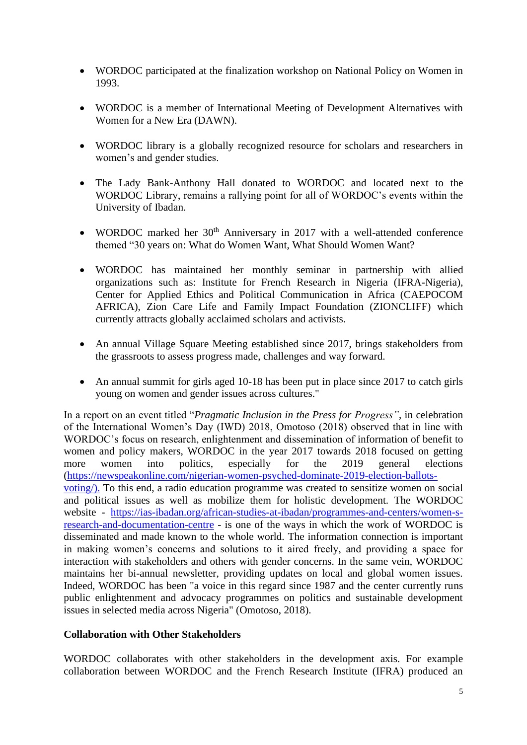- WORDOC participated at the finalization workshop on National Policy on Women in 1993.
- WORDOC is a member of International Meeting of Development Alternatives with Women for a New Era (DAWN).
- WORDOC library is a globally recognized resource for scholars and researchers in women's and gender studies.
- The Lady Bank-Anthony Hall donated to WORDOC and located next to the WORDOC Library, remains a rallying point for all of WORDOC's events within the University of Ibadan.
- WORDOC marked her  $30<sup>th</sup>$  Anniversary in 2017 with a well-attended conference themed "30 years on: What do Women Want, What Should Women Want?
- WORDOC has maintained her monthly seminar in partnership with allied organizations such as: Institute for French Research in Nigeria (IFRA-Nigeria), Center for Applied Ethics and Political Communication in Africa (CAEPOCOM AFRICA), Zion Care Life and Family Impact Foundation (ZIONCLIFF) which currently attracts globally acclaimed scholars and activists.
- An annual Village Square Meeting established since 2017, brings stakeholders from the grassroots to assess progress made, challenges and way forward.
- An annual summit for girls aged 10-18 has been put in place since 2017 to catch girls young on women and gender issues across cultures."

In a report on an event titled "*Pragmatic Inclusion in the Press for Progress"*, in celebration of the International Women's Day (IWD) 2018, Omotoso (2018) observed that in line with WORDOC's focus on research, enlightenment and dissemination of information of benefit to women and policy makers, WORDOC in the year 2017 towards 2018 focused on getting more women into politics, especially for the 2019 general elections [\(https://newspeakonline.com/nigerian-women-psyched-dominate-2019-election-ballots](https://newspeakonline.com/nigerian-women-psyched-dominate-2019-election-ballots-voting/)[voting/\)](https://newspeakonline.com/nigerian-women-psyched-dominate-2019-election-ballots-voting/). To this end, a radio education programme was created to sensitize women on social and political issues as well as mobilize them for holistic development. The WORDOC website - [https://ias-ibadan.org/african-studies-at-ibadan/programmes-and-centers/women-s](https://ias-ibadan.org/african-studies-at-ibadan/programmes-and-centers/women-s-research-and-documentation-centre)[research-and-documentation-centre](https://ias-ibadan.org/african-studies-at-ibadan/programmes-and-centers/women-s-research-and-documentation-centre) - is one of the ways in which the work of WORDOC is disseminated and made known to the whole world. The information connection is important in making women's concerns and solutions to it aired freely, and providing a space for interaction with stakeholders and others with gender concerns. In the same vein, WORDOC maintains her bi-annual newsletter, providing updates on local and global women issues. Indeed, WORDOC has been "a voice in this regard since 1987 and the center currently runs public enlightenment and advocacy programmes on politics and sustainable development issues in selected media across Nigeria" (Omotoso, 2018).

### **Collaboration with Other Stakeholders**

WORDOC collaborates with other stakeholders in the development axis. For example collaboration between WORDOC and the French Research Institute (IFRA) produced an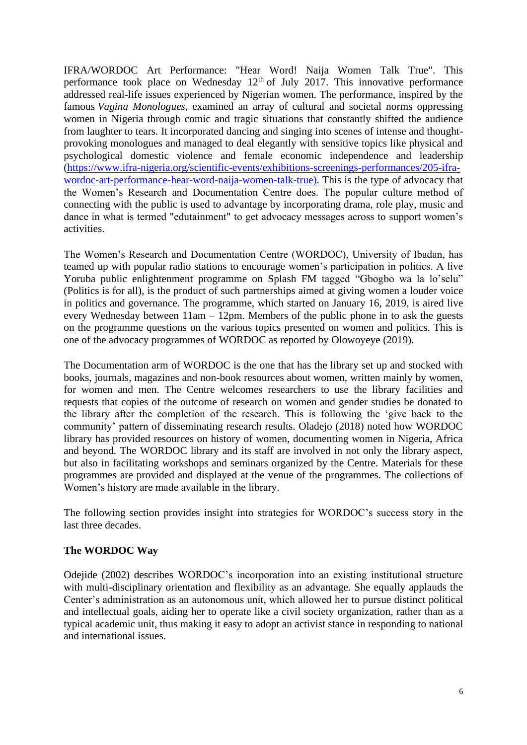IFRA/WORDOC Art Performance: "Hear Word! Naija Women Talk True". This performance took place on Wednesday  $12<sup>th</sup>$  of July 2017. This innovative performance addressed real-life issues experienced by Nigerian women. The performance, inspired by the famous *Vagina Monologues*, examined an array of cultural and societal norms oppressing women in Nigeria through comic and tragic situations that constantly shifted the audience from laughter to tears. It incorporated dancing and singing into scenes of intense and thoughtprovoking monologues and managed to deal elegantly with sensitive topics like physical and psychological domestic violence and female economic independence and leadership [\(https://www.ifra-nigeria.org/scientific-events/exhibitions-screenings-performances/205-ifra](https://www.ifra-nigeria.org/scientific-events/exhibitions-screenings-performances/205-ifra-wordoc-art-performance-hear-word-naija-women-talk-true)[wordoc-art-performance-hear-word-naija-women-talk-true\)](https://www.ifra-nigeria.org/scientific-events/exhibitions-screenings-performances/205-ifra-wordoc-art-performance-hear-word-naija-women-talk-true). This is the type of advocacy that the Women's Research and Documentation Centre does. The popular culture method of connecting with the public is used to advantage by incorporating drama, role play, music and dance in what is termed "edutainment" to get advocacy messages across to support women's activities.

The Women's Research and Documentation Centre (WORDOC), University of Ibadan, has teamed up with popular radio stations to encourage women's participation in politics. A live Yoruba public enlightenment programme on Splash FM tagged "Gbogbo wa la lo'selu" (Politics is for all), is the product of such partnerships aimed at giving women a louder voice in politics and governance. The programme, which started on January 16, 2019, is aired live every Wednesday between 11am – 12pm. Members of the public phone in to ask the guests on the programme questions on the various topics presented on women and politics. This is one of the advocacy programmes of WORDOC as reported by Olowoyeye (2019).

The Documentation arm of WORDOC is the one that has the library set up and stocked with books, journals, magazines and non-book resources about women, written mainly by women, for women and men. The Centre welcomes researchers to use the library facilities and requests that copies of the outcome of research on women and gender studies be donated to the library after the completion of the research. This is following the 'give back to the community' pattern of disseminating research results. Oladejo (2018) noted how WORDOC library has provided resources on history of women, documenting women in Nigeria, Africa and beyond. The WORDOC library and its staff are involved in not only the library aspect, but also in facilitating workshops and seminars organized by the Centre. Materials for these programmes are provided and displayed at the venue of the programmes. The collections of Women's history are made available in the library.

The following section provides insight into strategies for WORDOC's success story in the last three decades.

# **The WORDOC Way**

Odejide (2002) describes WORDOC's incorporation into an existing institutional structure with multi-disciplinary orientation and flexibility as an advantage. She equally applauds the Center's administration as an autonomous unit, which allowed her to pursue distinct political and intellectual goals, aiding her to operate like a civil society organization, rather than as a typical academic unit, thus making it easy to adopt an activist stance in responding to national and international issues.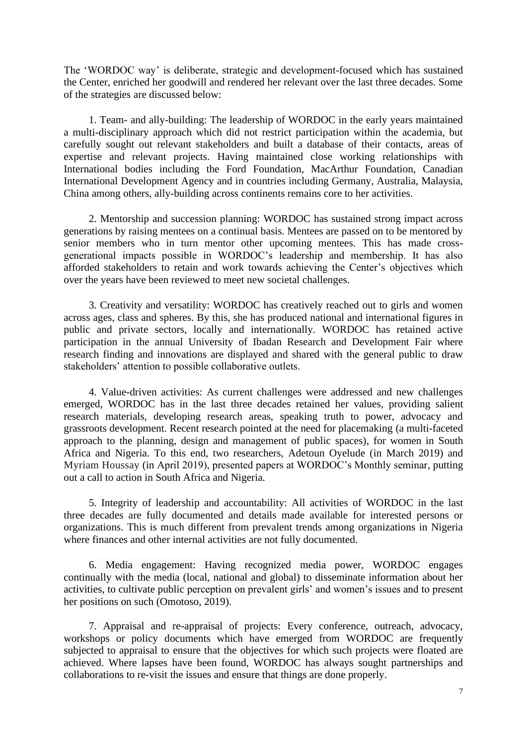The 'WORDOC way' is deliberate, strategic and development-focused which has sustained the Center, enriched her goodwill and rendered her relevant over the last three decades. Some of the strategies are discussed below:

1. Team- and ally-building: The leadership of WORDOC in the early years maintained a multi-disciplinary approach which did not restrict participation within the academia, but carefully sought out relevant stakeholders and built a database of their contacts, areas of expertise and relevant projects. Having maintained close working relationships with International bodies including the Ford Foundation, MacArthur Foundation, Canadian International Development Agency and in countries including Germany, Australia, Malaysia, China among others, ally-building across continents remains core to her activities.

2. Mentorship and succession planning: WORDOC has sustained strong impact across generations by raising mentees on a continual basis. Mentees are passed on to be mentored by senior members who in turn mentor other upcoming mentees. This has made crossgenerational impacts possible in WORDOC's leadership and membership. It has also afforded stakeholders to retain and work towards achieving the Center's objectives which over the years have been reviewed to meet new societal challenges.

3. Creativity and versatility: WORDOC has creatively reached out to girls and women across ages, class and spheres. By this, she has produced national and international figures in public and private sectors, locally and internationally. WORDOC has retained active participation in the annual University of Ibadan Research and Development Fair where research finding and innovations are displayed and shared with the general public to draw stakeholders' attention to possible collaborative outlets.

4. Value-driven activities: As current challenges were addressed and new challenges emerged, WORDOC has in the last three decades retained her values, providing salient research materials, developing research areas, speaking truth to power, advocacy and grassroots development. Recent research pointed at the need for placemaking (a multi-faceted approach to the planning, design and management of public spaces), for women in South Africa and Nigeria. To this end, two researchers, Adetoun Oyelude (in March 2019) and Myriam Houssay (in April 2019), presented papers at WORDOC's Monthly seminar, putting out a call to action in South Africa and Nigeria.

5. Integrity of leadership and accountability: All activities of WORDOC in the last three decades are fully documented and details made available for interested persons or organizations. This is much different from prevalent trends among organizations in Nigeria where finances and other internal activities are not fully documented.

6. Media engagement: Having recognized media power, WORDOC engages continually with the media (local, national and global) to disseminate information about her activities, to cultivate public perception on prevalent girls' and women's issues and to present her positions on such (Omotoso, 2019).

7. Appraisal and re-appraisal of projects: Every conference, outreach, advocacy, workshops or policy documents which have emerged from WORDOC are frequently subjected to appraisal to ensure that the objectives for which such projects were floated are achieved. Where lapses have been found, WORDOC has always sought partnerships and collaborations to re-visit the issues and ensure that things are done properly.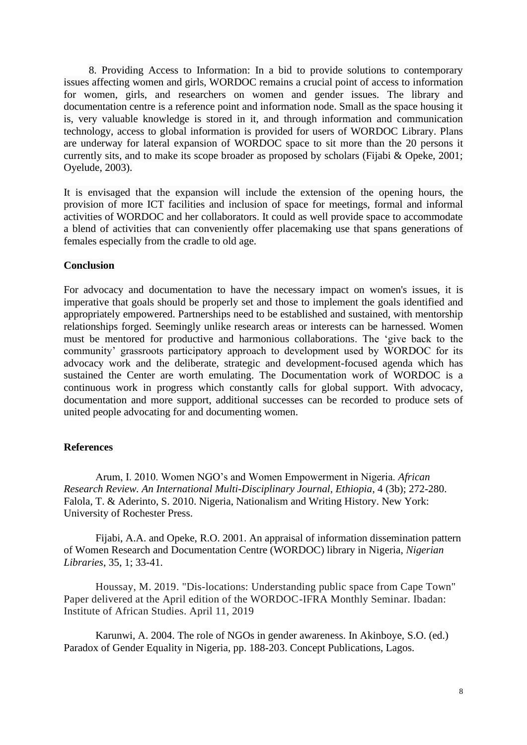8. Providing Access to Information: In a bid to provide solutions to contemporary issues affecting women and girls, WORDOC remains a crucial point of access to information for women, girls, and researchers on women and gender issues. The library and documentation centre is a reference point and information node. Small as the space housing it is, very valuable knowledge is stored in it, and through information and communication technology, access to global information is provided for users of WORDOC Library. Plans are underway for lateral expansion of WORDOC space to sit more than the 20 persons it currently sits, and to make its scope broader as proposed by scholars (Fijabi & Opeke, 2001; Oyelude, 2003).

It is envisaged that the expansion will include the extension of the opening hours, the provision of more ICT facilities and inclusion of space for meetings, formal and informal activities of WORDOC and her collaborators. It could as well provide space to accommodate a blend of activities that can conveniently offer placemaking use that spans generations of females especially from the cradle to old age.

#### **Conclusion**

For advocacy and documentation to have the necessary impact on women's issues, it is imperative that goals should be properly set and those to implement the goals identified and appropriately empowered. Partnerships need to be established and sustained, with mentorship relationships forged. Seemingly unlike research areas or interests can be harnessed. Women must be mentored for productive and harmonious collaborations. The 'give back to the community' grassroots participatory approach to development used by WORDOC for its advocacy work and the deliberate, strategic and development-focused agenda which has sustained the Center are worth emulating. The Documentation work of WORDOC is a continuous work in progress which constantly calls for global support. With advocacy, documentation and more support, additional successes can be recorded to produce sets of united people advocating for and documenting women.

#### **References**

Arum, I. 2010. Women NGO's and Women Empowerment in Nigeria. *African Research Review. An International Multi-Disciplinary Journal, Ethiopia*, 4 (3b); 272-280. Falola, T. & Aderinto, S. 2010. Nigeria, Nationalism and Writing History. New York: University of Rochester Press.

Fijabi, A.A. and Opeke, R.O. 2001. An appraisal of information dissemination pattern of Women Research and Documentation Centre (WORDOC) library in Nigeria, *Nigerian Libraries*, 35, 1; 33-41.

Houssay, M. 2019. "Dis-locations: Understanding public space from Cape Town" Paper delivered at the April edition of the WORDOC-IFRA Monthly Seminar. Ibadan: Institute of African Studies. April 11, 2019

Karunwi, A. 2004. The role of NGOs in gender awareness. In Akinboye, S.O. (ed.) Paradox of Gender Equality in Nigeria, pp. 188-203. Concept Publications, Lagos.